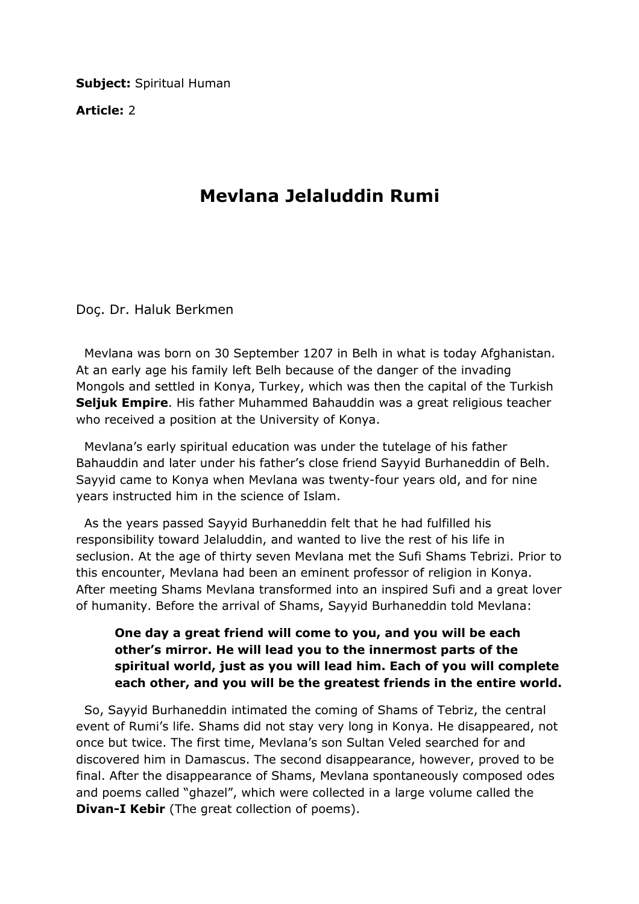**Subject: Spiritual Human** 

Article: 2

## Mevlana Jelaluddin Rumi

Doç. Dr. Haluk Berkmen

 Mevlana was born on 30 September 1207 in Belh in what is today Afghanistan. At an early age his family left Belh because of the danger of the invading Mongols and settled in Konya, Turkey, which was then the capital of the Turkish Seljuk Empire. His father Muhammed Bahauddin was a great religious teacher who received a position at the University of Konya.

 Mevlana's early spiritual education was under the tutelage of his father Bahauddin and later under his father's close friend Sayyid Burhaneddin of Belh. Sayyid came to Konya when Mevlana was twenty-four years old, and for nine years instructed him in the science of Islam.

 As the years passed Sayyid Burhaneddin felt that he had fulfilled his responsibility toward Jelaluddin, and wanted to live the rest of his life in seclusion. At the age of thirty seven Mevlana met the Sufi Shams Tebrizi. Prior to this encounter, Mevlana had been an eminent professor of religion in Konya. After meeting Shams Mevlana transformed into an inspired Sufi and a great lover of humanity. Before the arrival of Shams, Sayyid Burhaneddin told Mevlana:

## One day a great friend will come to you, and you will be each other's mirror. He will lead you to the innermost parts of the spiritual world, just as you will lead him. Each of you will complete each other, and you will be the greatest friends in the entire world.

 So, Sayyid Burhaneddin intimated the coming of Shams of Tebriz, the central event of Rumi's life. Shams did not stay very long in Konya. He disappeared, not once but twice. The first time, Mevlana's son Sultan Veled searched for and discovered him in Damascus. The second disappearance, however, proved to be final. After the disappearance of Shams, Mevlana spontaneously composed odes and poems called "ghazel", which were collected in a large volume called the **Divan-I Kebir** (The great collection of poems).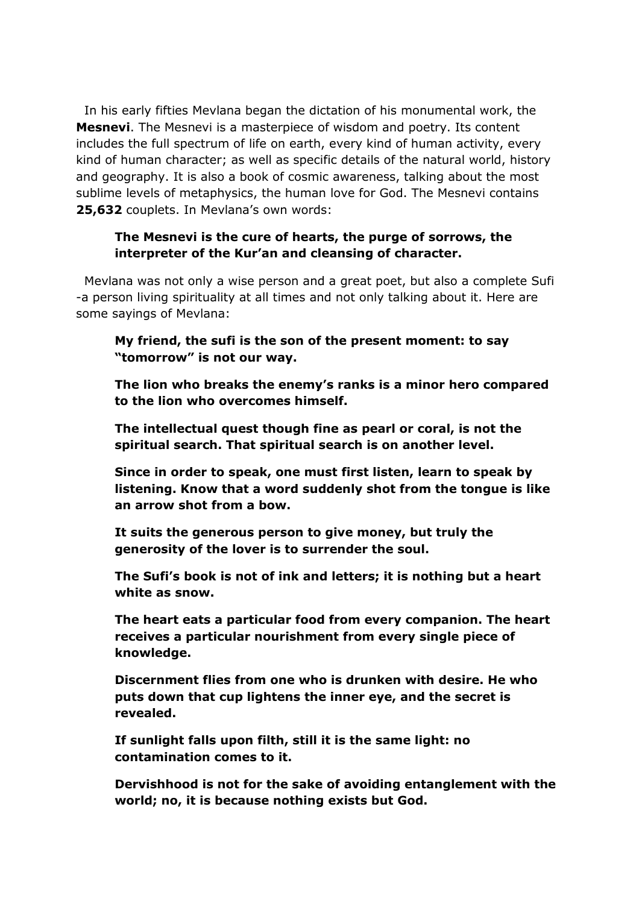In his early fifties Mevlana began the dictation of his monumental work, the Mesnevi. The Mesnevi is a masterpiece of wisdom and poetry. Its content includes the full spectrum of life on earth, every kind of human activity, every kind of human character; as well as specific details of the natural world, history and geography. It is also a book of cosmic awareness, talking about the most sublime levels of metaphysics, the human love for God. The Mesnevi contains 25,632 couplets. In Mevlana's own words:

## The Mesnevi is the cure of hearts, the purge of sorrows, the interpreter of the Kur'an and cleansing of character.

 Mevlana was not only a wise person and a great poet, but also a complete Sufi -a person living spirituality at all times and not only talking about it. Here are some sayings of Mevlana:

My friend, the sufi is the son of the present moment: to say "tomorrow" is not our way.

The lion who breaks the enemy's ranks is a minor hero compared to the lion who overcomes himself.

The intellectual quest though fine as pearl or coral, is not the spiritual search. That spiritual search is on another level.

Since in order to speak, one must first listen, learn to speak by listening. Know that a word suddenly shot from the tongue is like an arrow shot from a bow.

It suits the generous person to give money, but truly the generosity of the lover is to surrender the soul.

The Sufi's book is not of ink and letters; it is nothing but a heart white as snow.

The heart eats a particular food from every companion. The heart receives a particular nourishment from every single piece of knowledge.

Discernment flies from one who is drunken with desire. He who puts down that cup lightens the inner eye, and the secret is revealed.

If sunlight falls upon filth, still it is the same light: no contamination comes to it.

Dervishhood is not for the sake of avoiding entanglement with the world; no, it is because nothing exists but God.